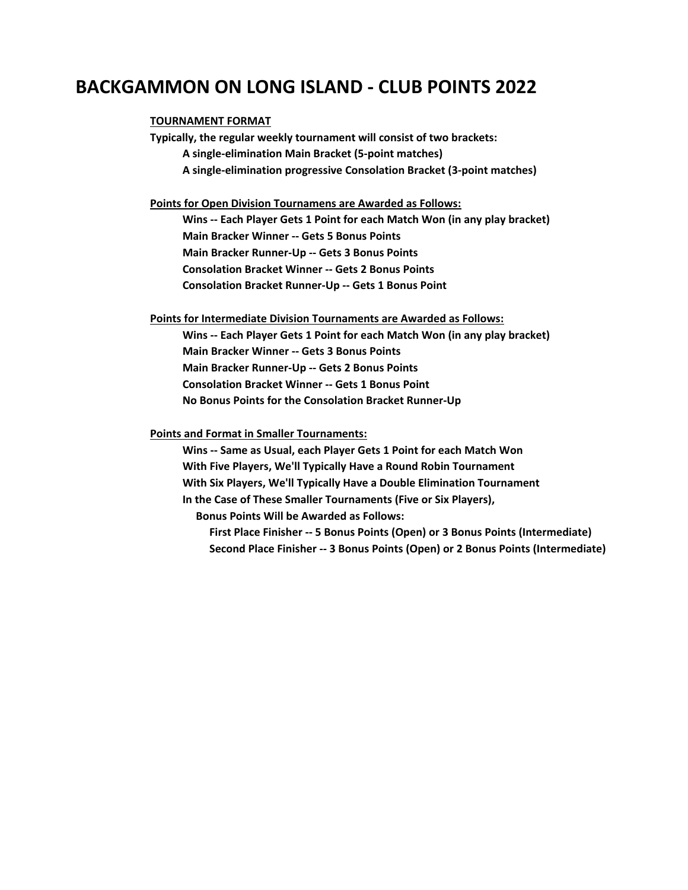## **BACKGAMMON ON LONG ISLAND - CLUB POINTS 2022**

## **TOURNAMENT FORMAT**

**Typically, the regular weekly tournament will consist of two brackets: A single-elimination Main Bracket (5-point matches) A single-elimination progressive Consolation Bracket (3-point matches)**

**Points for Open Division Tournamens are Awarded as Follows:**

 **Wins -- Each Player Gets 1 Point for each Match Won (in any play bracket) Main Bracker Winner -- Gets 5 Bonus Points Main Bracker Runner-Up -- Gets 3 Bonus Points Consolation Bracket Winner -- Gets 2 Bonus Points Consolation Bracket Runner-Up -- Gets 1 Bonus Point**

**Points for Intermediate Division Tournaments are Awarded as Follows:**

 **Wins -- Each Player Gets 1 Point for each Match Won (in any play bracket) Main Bracker Winner -- Gets 3 Bonus Points Main Bracker Runner-Up -- Gets 2 Bonus Points Consolation Bracket Winner -- Gets 1 Bonus Point No Bonus Points for the Consolation Bracket Runner-Up**

**Points and Format in Smaller Tournaments:**

 **Wins -- Same as Usual, each Player Gets 1 Point for each Match Won With Five Players, We'll Typically Have a Round Robin Tournament With Six Players, We'll Typically Have a Double Elimination Tournament In the Case of These Smaller Tournaments (Five or Six Players),**

 **Bonus Points Will be Awarded as Follows:**

 **First Place Finisher -- 5 Bonus Points (Open) or 3 Bonus Points (Intermediate) Second Place Finisher -- 3 Bonus Points (Open) or 2 Bonus Points (Intermediate)**